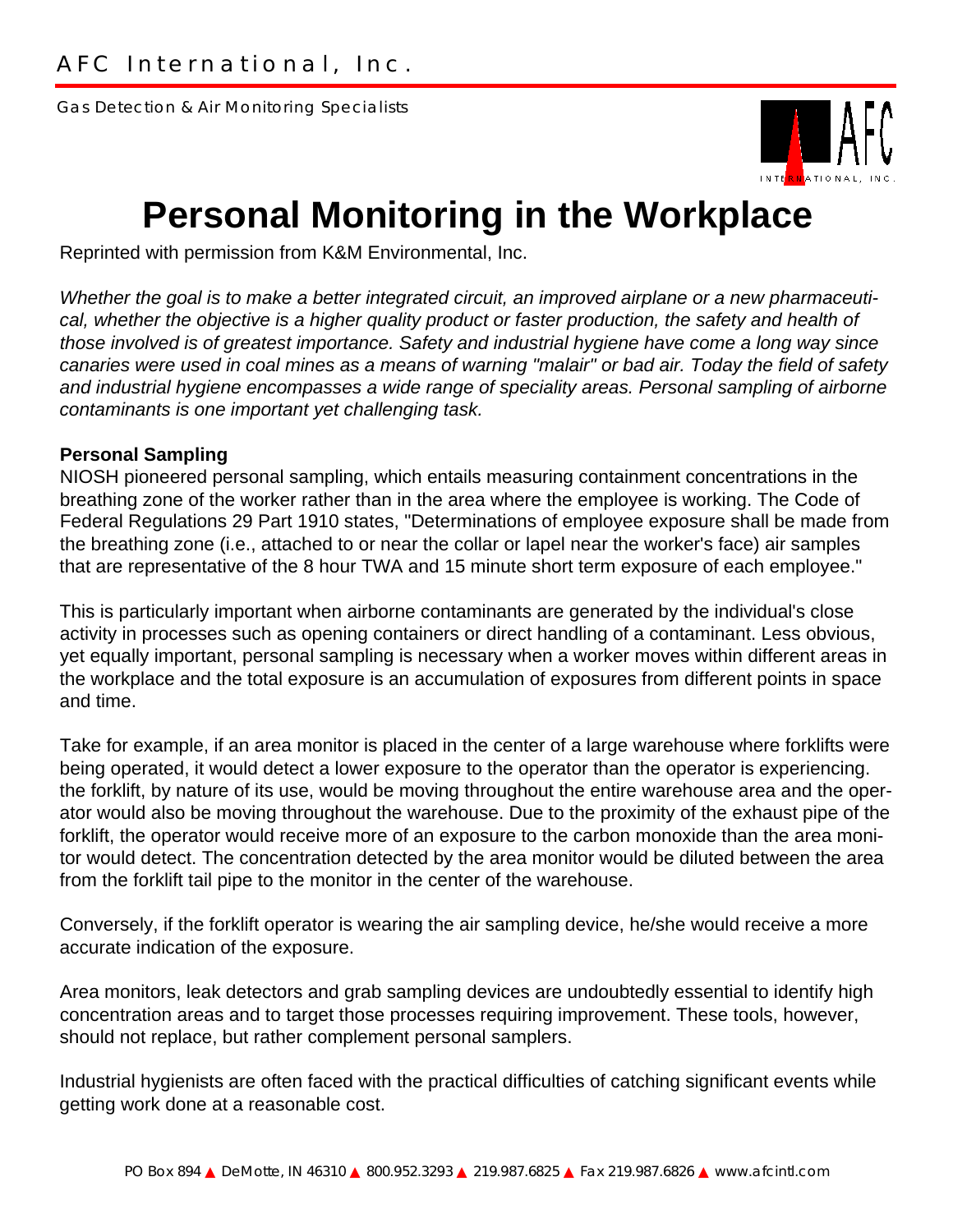Gas Detection & Air Monitoring Specialists



## **Personal Monitoring in the Workplace**

Reprinted with permission from K&M Environmental, Inc.

*Whether the goal is to make a better integrated circuit, an improved airplane or a new pharmaceutical, whether the objective is a higher quality product or faster production, the safety and health of those involved is of greatest importance. Safety and industrial hygiene have come a long way since canaries were used in coal mines as a means of warning "malair" or bad air. Today the field of safety and industrial hygiene encompasses a wide range of speciality areas. Personal sampling of airborne contaminants is one important yet challenging task.*

## **Personal Sampling**

NIOSH pioneered personal sampling, which entails measuring containment concentrations in the breathing zone of the worker rather than in the area where the employee is working. The Code of Federal Regulations 29 Part 1910 states, "Determinations of employee exposure shall be made from the breathing zone (i.e., attached to or near the collar or lapel near the worker's face) air samples that are representative of the 8 hour TWA and 15 minute short term exposure of each employee."

This is particularly important when airborne contaminants are generated by the individual's close activity in processes such as opening containers or direct handling of a contaminant. Less obvious, yet equally important, personal sampling is necessary when a worker moves within different areas in the workplace and the total exposure is an accumulation of exposures from different points in space and time.

Take for example, if an area monitor is placed in the center of a large warehouse where forklifts were being operated, it would detect a lower exposure to the operator than the operator is experiencing. the forklift, by nature of its use, would be moving throughout the entire warehouse area and the operator would also be moving throughout the warehouse. Due to the proximity of the exhaust pipe of the forklift, the operator would receive more of an exposure to the carbon monoxide than the area monitor would detect. The concentration detected by the area monitor would be diluted between the area from the forklift tail pipe to the monitor in the center of the warehouse.

Conversely, if the forklift operator is wearing the air sampling device, he/she would receive a more accurate indication of the exposure.

Area monitors, leak detectors and grab sampling devices are undoubtedly essential to identify high concentration areas and to target those processes requiring improvement. These tools, however, should not replace, but rather complement personal samplers.

Industrial hygienists are often faced with the practical difficulties of catching significant events while getting work done at a reasonable cost.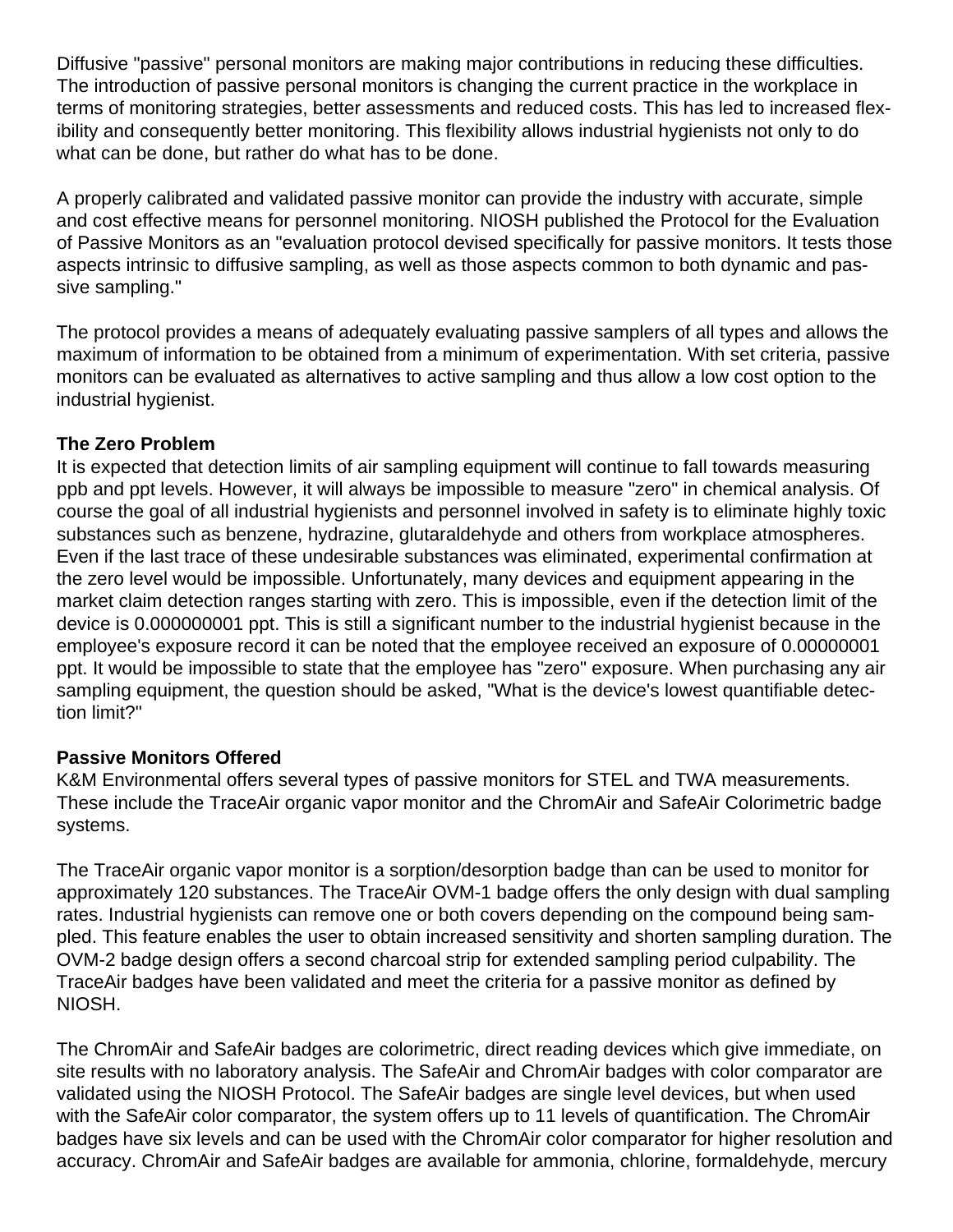Diffusive "passive" personal monitors are making major contributions in reducing these difficulties. The introduction of passive personal monitors is changing the current practice in the workplace in terms of monitoring strategies, better assessments and reduced costs. This has led to increased flexibility and consequently better monitoring. This flexibility allows industrial hygienists not only to do what can be done, but rather do what has to be done.

A properly calibrated and validated passive monitor can provide the industry with accurate, simple and cost effective means for personnel monitoring. NIOSH published the Protocol for the Evaluation of Passive Monitors as an "evaluation protocol devised specifically for passive monitors. It tests those aspects intrinsic to diffusive sampling, as well as those aspects common to both dynamic and passive sampling."

The protocol provides a means of adequately evaluating passive samplers of all types and allows the maximum of information to be obtained from a minimum of experimentation. With set criteria, passive monitors can be evaluated as alternatives to active sampling and thus allow a low cost option to the industrial hygienist.

## **The Zero Problem**

It is expected that detection limits of air sampling equipment will continue to fall towards measuring ppb and ppt levels. However, it will always be impossible to measure "zero" in chemical analysis. Of course the goal of all industrial hygienists and personnel involved in safety is to eliminate highly toxic substances such as benzene, hydrazine, glutaraldehyde and others from workplace atmospheres. Even if the last trace of these undesirable substances was eliminated, experimental confirmation at the zero level would be impossible. Unfortunately, many devices and equipment appearing in the market claim detection ranges starting with zero. This is impossible, even if the detection limit of the device is 0.000000001 ppt. This is still a significant number to the industrial hygienist because in the employee's exposure record it can be noted that the employee received an exposure of 0.00000001 ppt. It would be impossible to state that the employee has "zero" exposure. When purchasing any air sampling equipment, the question should be asked, "What is the device's lowest quantifiable detection limit?"

## **Passive Monitors Offered**

K&M Environmental offers several types of passive monitors for STEL and TWA measurements. These include the TraceAir organic vapor monitor and the ChromAir and SafeAir Colorimetric badge systems.

The TraceAir organic vapor monitor is a sorption/desorption badge than can be used to monitor for approximately 120 substances. The TraceAir OVM-1 badge offers the only design with dual sampling rates. Industrial hygienists can remove one or both covers depending on the compound being sampled. This feature enables the user to obtain increased sensitivity and shorten sampling duration. The OVM-2 badge design offers a second charcoal strip for extended sampling period culpability. The TraceAir badges have been validated and meet the criteria for a passive monitor as defined by NIOSH.

The ChromAir and SafeAir badges are colorimetric, direct reading devices which give immediate, on site results with no laboratory analysis. The SafeAir and ChromAir badges with color comparator are validated using the NIOSH Protocol. The SafeAir badges are single level devices, but when used with the SafeAir color comparator, the system offers up to 11 levels of quantification. The ChromAir badges have six levels and can be used with the ChromAir color comparator for higher resolution and accuracy. ChromAir and SafeAir badges are available for ammonia, chlorine, formaldehyde, mercury